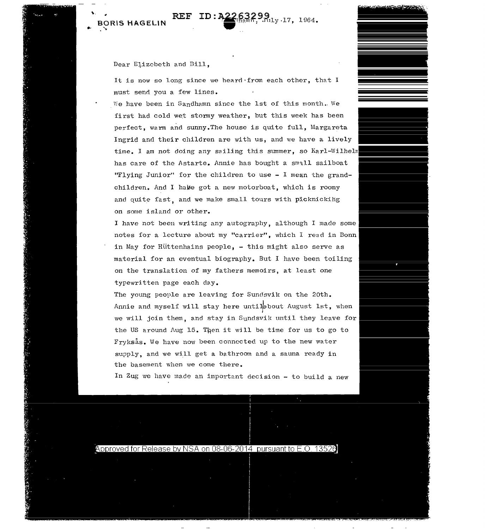## Dear E1izcbeth and Dill,

It is now so long since we heard·from each other, that I must send you a few lines.

We have been in Sandhamn since the 1st of this month.. We first had cold wet stormy weather, but this week has been perfect, warm and sunny. The house is quite full, Margareta Ingrid and their children are with us, and we have a lively time. I am not doing any sailing this summer, so Karl-Wilheln has care of the Astarte. Annie has bought a small sailboat "Flying Junior" for the children to use - I mean the grandchildren. And I have got a new motorboat, which is roomy and quite fast, and we make small tours with picknickihg on some island or other.

I have not been writing any autography, although I made some notes for a lecture about my "carrier", which I read in Bonn in May for Hüttenhains people, - this might also serve as material for an eventual biography. But I have been toiling on the translation of my fathers memoirs, at least one typewritten page each day.

The young people are leaving for Sundsvik on the 20th. Annie and myself will stay here untilsbout August 1st, when we will join them, and stay in Sundsvik until they leave for the US around Aug 15. Then it will be time for us to go to Fryksås. We have now been connected up to the new water supply, and we will get a bathroom and a sauna ready in the basement when we come there.

In Zug we have made an important decision - to build a new

## Approved for Release by NSA on 08-06-2014 pursuant to E.O. 13526